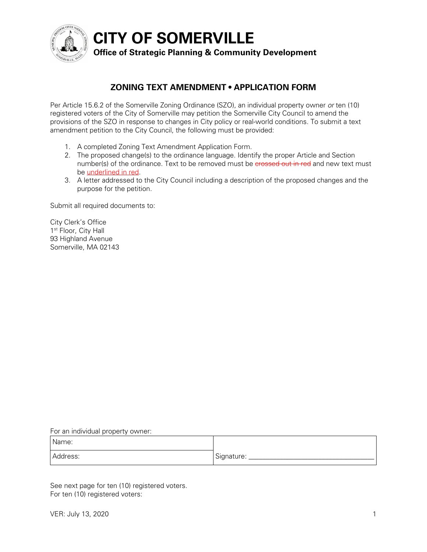

**CITY OF SOMERVILLE**

## **Office of Strategic Planning & Community Development**

## **ZONING TEXT AMENDMENT • APPLICATION FORM**

Per Article 15.6.2 of the Somerville Zoning Ordinance (SZO), an individual property owner *or* ten (10) registered voters of the City of Somerville may petition the Somerville City Council to amend the provisions of the SZO in response to changes in City policy or real-world conditions. To submit a text amendment petition to the City Council, the following must be provided:

- 1. A completed Zoning Text Amendment Application Form.
- 2. The proposed change(s) to the ordinance language. Identify the proper Article and Section number(s) of the ordinance. Text to be removed must be erossed out in red and new text must be underlined in red.
- 3. A letter addressed to the City Council including a description of the proposed changes and the purpose for the petition.

Submit all required documents to:

City Clerk's Office 1<sup>st</sup> Floor, City Hall 93 Highland Avenue Somerville, MA 02143

For an individual property owner:

| Name:    |            |
|----------|------------|
| Address: | Signature: |

See next page for ten (10) registered voters. For ten (10) registered voters: